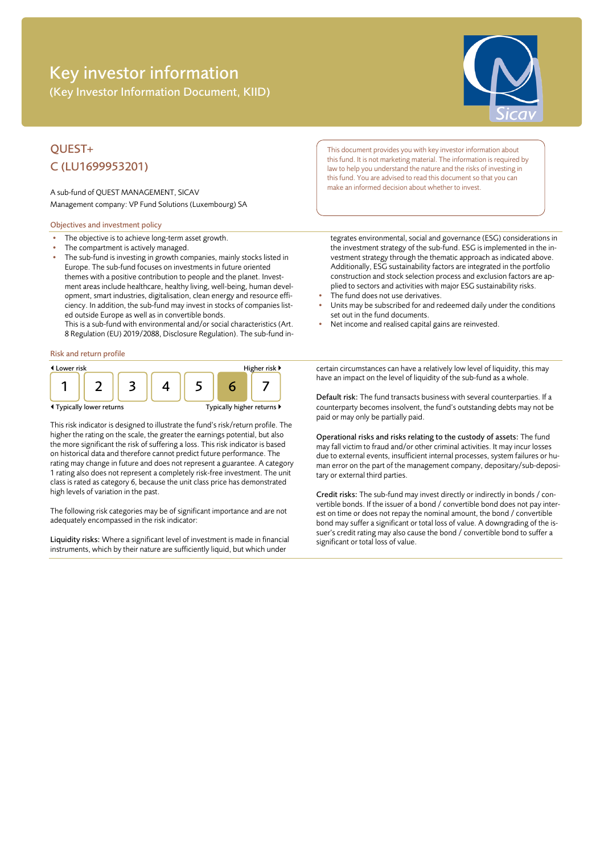# Key investor information (Key Investor Information Document, KIID)



## QUEST+ C (LU1699953201)

A sub-fund of QUEST MANAGEMENT, SICAV Management company: VP Fund Solutions (Luxembourg) SA

### Objectives and investment policy

- The objective is to achieve long-term asset growth.
- The compartment is actively managed.
- The sub-fund is investing in growth companies, mainly stocks listed in Europe. The sub-fund focuses on investments in future oriented themes with a positive contribution to people and the planet. Investment areas include healthcare, healthy living, well-being, human development, smart industries, digitalisation, clean energy and resource efficiency. In addition, the sub-fund may invest in stocks of companies listed outside Europe as well as in convertible bonds.

This is a sub-fund with environmental and/or social characteristics (Art. 8 Regulation (EU) 2019/2088, Disclosure Regulation). The sub-fund in-

#### Risk and return profile



This risk indicator is designed to illustrate the fund's risk/return profile. The higher the rating on the scale, the greater the earnings potential, but also the more significant the risk of suffering a loss. This risk indicator is based on historical data and therefore cannot predict future performance. The rating may change in future and does not represent a guarantee. A category 1 rating also does not represent a completely risk-free investment. The unit class is rated as category 6, because the unit class price has demonstrated high levels of variation in the past.

The following risk categories may be of significant importance and are not adequately encompassed in the risk indicator:

Liquidity risks: Where a significant level of investment is made in financial instruments, which by their nature are sufficiently liquid, but which under

This document provides you with key investor information about this fund. It is not marketing material. The information is required by law to help you understand the nature and the risks of investing in this fund. You are advised to read this document so that you can make an informed decision about whether to invest.

tegrates environmental, social and governance (ESG) considerations in the investment strategy of the sub-fund. ESG is implemented in the investment strategy through the thematic approach as indicated above. Additionally, ESG sustainability factors are integrated in the portfolio construction and stock selection process and exclusion factors are applied to sectors and activities with major ESG sustainability risks.

- The fund does not use derivatives
- Units may be subscribed for and redeemed daily under the conditions set out in the fund documents.
- Net income and realised capital gains are reinvested.

certain circumstances can have a relatively low level of liquidity, this may have an impact on the level of liquidity of the sub-fund as a whole.

Default risk: The fund transacts business with several counterparties. If a counterparty becomes insolvent, the fund's outstanding debts may not be paid or may only be partially paid.

Operational risks and risks relating to the custody of assets: The fund may fall victim to fraud and/or other criminal activities. It may incur losses due to external events, insufficient internal processes, system failures or human error on the part of the management company, depositary/sub-depositary or external third parties.

Credit risks: The sub-fund may invest directly or indirectly in bonds / convertible bonds. If the issuer of a bond / convertible bond does not pay interest on time or does not repay the nominal amount, the bond / convertible bond may suffer a significant or total loss of value. A downgrading of the issuer's credit rating may also cause the bond / convertible bond to suffer a significant or total loss of value.